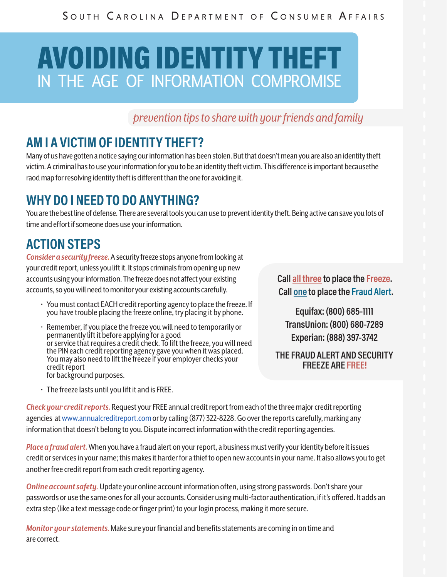# AVOIDING IDENTITY THEFT IN THE AGE OF INFORMATION COMPROMISE

*prevention tips to share with your friends and family* 

## **AM I A VICTIM OF IDENTITY THEFT?**

Many of us have gotten a notice saying our information has been stolen. But that doesn't mean you are also an identity theft victim. A criminal has to use your information for you to be an identity theft victim. This difference is important becausethe raod map for resolving identity theft is different than the one for avoiding it.

### **WHY DO I NEED TO DO ANYTHING?**

You are the best line of defense. There are several tools you can use to prevent identity theft. Being active can save you lots of time and effort if someone does use your information.

## **ACTION STEPS**

*Consider a security freeze.*A security freeze stops anyone from looking at your credit report, unless you lift it. It stops criminals from opening up new accounts using your information. The freeze does not affect your existing accounts, so you will need to monitor your existing accounts carefully.

- You must contact EACH credit reporting agency to place the freeze. If you have trouble placing the freeze online, try placing it by phone.
- Remember, if you place the freeze you will need to temporarily or permanently lift it before applying for a good or service that requires a credit check. To lift the freeze, you will need the PIN each credit reporting agency gave you when it was placed. You may also need to lift the freeze if your employer checks your credit report for background purposes.
- The freeze lasts until you lift it and is FREE.

**Call all three to place the Freeze. Call one to place the Fraud Alert.**

**Equifax: (800) 685-1111 TransUnion: (800) 680-7289 Experian: (888) 397-3742**

**THE FRAUD ALERT AND SECURITY FREEZE ARE FREE!**

*Check your credit reports.*Request your FREE annual credit report from each of the three major credit reporting agencies at www.annualcreditreport.com or by calling (877) 322-8228. Go over the reports carefully, marking any information that doesn't belong to you. Dispute incorrect information with the credit reporting agencies.

*Place a fraud alert.* When you have a fraud alert on your report, a business must verify your identity before it issues credit or services in your name; this makes it harder for a thief to open new accounts in your name. It also allows you to get another free credit report from each credit reporting agency.

*Online account safety.* Update your online account information often, using strong passwords. Don't share your passwords or use the same ones for all your accounts. Consider using multi-factor authentication, if it's offered. It adds an extra step (like a text message code or finger print) to your login process, making it more secure.

*Monitor your statements.* Make sure your financial and benefits statements are coming in on time and are correct.